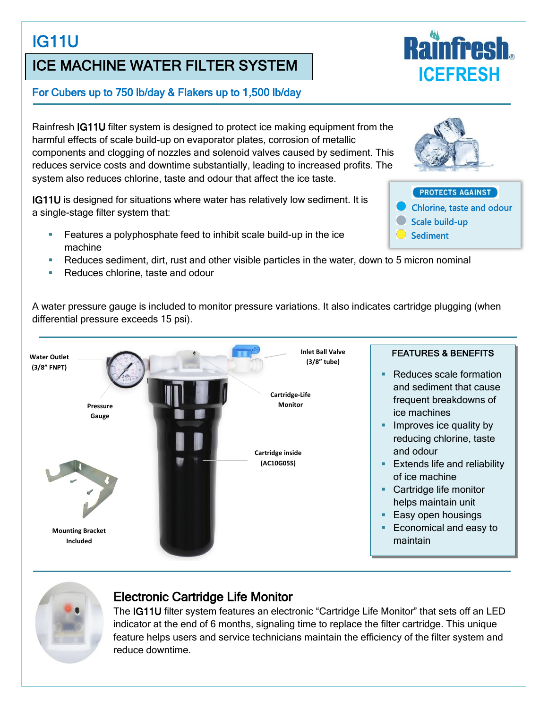# IG11U

## ICE MACHINE WATER FILTER SYSTEM

#### For Cubers up to 750 lb/day & Flakers up to 1,500 lb/day

Rainfresh IG11U filter system is designed to protect ice making equipment from the harmful effects of scale build-up on evaporator plates, corrosion of metallic components and clogging of nozzles and solenoid valves caused by sediment. This reduces service costs and downtime substantially, leading to increased profits. The system also reduces chlorine, taste and odour that affect the ice taste.

IG11U is designed for situations where water has relatively low sediment. It is a single-stage filter system that:

- Features a polyphosphate feed to inhibit scale build-up in the ice machine
- Reduces sediment, dirt, rust and other visible particles in the water, down to 5 micron nominal
- Reduces chlorine, taste and odour

A water pressure gauge is included to monitor pressure variations. It also indicates cartridge plugging (when differential pressure exceeds 15 psi).





#### Electronic Cartridge Life Monitor

The IG11U filter system features an electronic "Cartridge Life Monitor" that sets off an LED indicator at the end of 6 months, signaling time to replace the filter cartridge. This unique feature helps users and service technicians maintain the efficiency of the filter system and reduce downtime.





#### PROTECTS AGAINST

- Chlorine, taste and odour
- Scale build-up
- **Sediment**